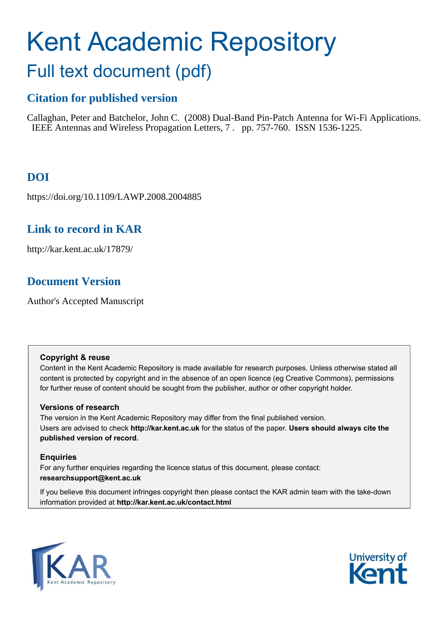# Kent Academic Repository Full text document (pdf)

## **Citation for published version**

Callaghan, Peter and Batchelor, John C. (2008) Dual-Band Pin-Patch Antenna for Wi-Fi Applications. IEEE Antennas and Wireless Propagation Letters, 7 . pp. 757-760. ISSN 1536-1225.

## **DOI**

https://doi.org/10.1109/LAWP.2008.2004885

## **Link to record in KAR**

http://kar.kent.ac.uk/17879/

## **Document Version**

Author's Accepted Manuscript

## **Copyright & reuse**

Content in the Kent Academic Repository is made available for research purposes. Unless otherwise stated all content is protected by copyright and in the absence of an open licence (eg Creative Commons), permissions for further reuse of content should be sought from the publisher, author or other copyright holder.

## **Versions of research**

The version in the Kent Academic Repository may differ from the final published version. Users are advised to check **http://kar.kent.ac.uk** for the status of the paper. **Users should always cite the published version of record.**

## **Enquiries**

For any further enquiries regarding the licence status of this document, please contact: **researchsupport@kent.ac.uk**

If you believe this document infringes copyright then please contact the KAR admin team with the take-down information provided at **http://kar.kent.ac.uk/contact.html**



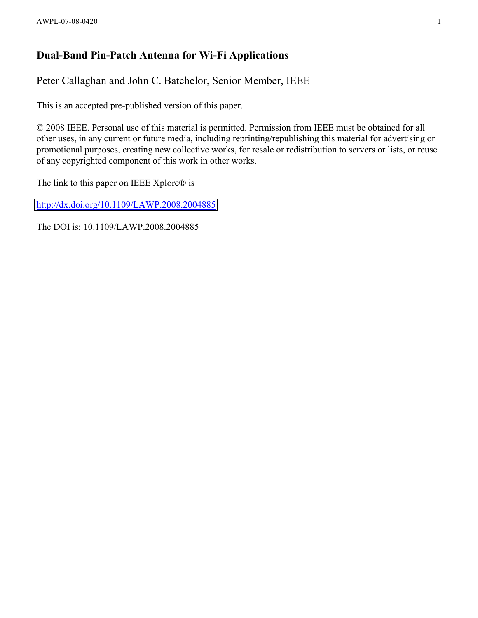## **Dual-Band Pin-Patch Antenna for Wi-Fi Applications**

Peter Callaghan and John C. Batchelor, Senior Member, IEEE

This is an accepted pre-published version of this paper.

© 2008 IEEE. Personal use of this material is permitted. Permission from IEEE must be obtained for all other uses, in any current or future media, including reprinting/republishing this material for advertising or promotional purposes, creating new collective works, for resale or redistribution to servers or lists, or reuse of any copyrighted component of this work in other works.

The link to this paper on IEEE Xplore® is

<http://dx.doi.org/10.1109/LAWP.2008.2004885>

The DOI is: 10.1109/LAWP.2008.2004885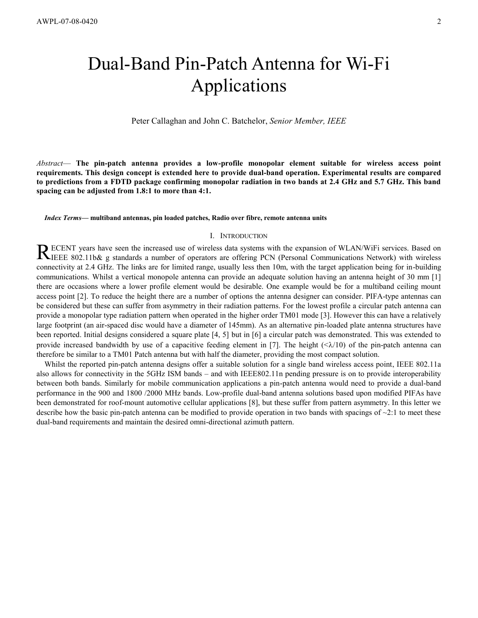## Dual-Band Pin-Patch Antenna for Wi-Fi Applications

Peter Callaghan and John C. Batchelor, *Senior Member, IEEE*

*Abstract*— **The pin-patch antenna provides a low-profile monopolar element suitable for wireless access point requirements. This design concept is extended here to provide dual-band operation. Experimental results are compared to predictions from a FDTD package confirming monopolar radiation in two bands at 2.4 GHz and 5.7 GHz. This band spacing can be adjusted from 1.8:1 to more than 4:1.** 

*Index Terms***— multiband antennas, pin loaded patches, Radio over fibre, remote antenna units** 

#### I. INTRODUCTION

ECENT years have seen the increased use of wireless data systems with the expansion of WLAN/WiFi services. Based on RECENT years have seen the increased use of wireless data systems with the expansion of WLAN/WiFi services. Based on RIEEE 802.11b& g standards a number of operators are offering PCN (Personal Communications Network) with connectivity at 2.4 GHz. The links are for limited range, usually less then 10m, with the target application being for in-building communications. Whilst a vertical monopole antenna can provide an adequate solution having an antenna height of 30 mm [1] there are occasions where a lower profile element would be desirable. One example would be for a multiband ceiling mount access point [2]. To reduce the height there are a number of options the antenna designer can consider. PIFA-type antennas can be considered but these can suffer from asymmetry in their radiation patterns. For the lowest profile a circular patch antenna can provide a monopolar type radiation pattern when operated in the higher order TM01 mode [3]. However this can have a relatively large footprint (an air-spaced disc would have a diameter of 145mm). As an alternative pin-loaded plate antenna structures have been reported. Initial designs considered a square plate [4, 5] but in [6] a circular patch was demonstrated. This was extended to provide increased bandwidth by use of a capacitive feeding element in [7]. The height  $( $\lambda/10$ ) of the pin-patch antenna can$ therefore be similar to a TM01 Patch antenna but with half the diameter, providing the most compact solution.

Whilst the reported pin-patch antenna designs offer a suitable solution for a single band wireless access point, IEEE 802.11a also allows for connectivity in the 5GHz ISM bands – and with IEEE802.11n pending pressure is on to provide interoperability between both bands. Similarly for mobile communication applications a pin-patch antenna would need to provide a dual-band performance in the 900 and 1800 /2000 MHz bands. Low-profile dual-band antenna solutions based upon modified PIFAs have been demonstrated for roof-mount automotive cellular applications [8], but these suffer from pattern asymmetry. In this letter we describe how the basic pin-patch antenna can be modified to provide operation in two bands with spacings of  $\sim$ 2:1 to meet these dual-band requirements and maintain the desired omni-directional azimuth pattern.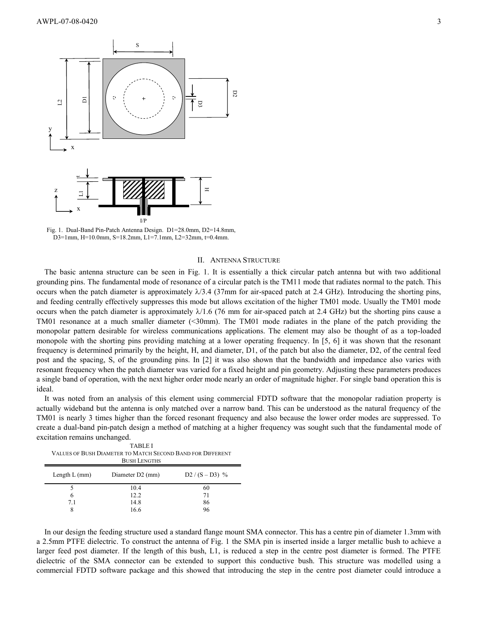

Fig. 1. Dual-Band Pin-Patch Antenna Design. D1=28.0mm, D2=14.8mm, D3=1mm, H=10.0mm, S=18.2mm, L1=7.1mm, L2=32mm, t=0.4mm.

#### II. ANTENNA STRUCTURE

The basic antenna structure can be seen in Fig. 1. It is essentially a thick circular patch antenna but with two additional grounding pins. The fundamental mode of resonance of a circular patch is the TM11 mode that radiates normal to the patch. This occurs when the patch diameter is approximately  $\lambda/3.4$  (37mm for air-spaced patch at 2.4 GHz). Introducing the shorting pins, and feeding centrally effectively suppresses this mode but allows excitation of the higher TM01 mode. Usually the TM01 mode occurs when the patch diameter is approximately  $\lambda/1.6$  (76 mm for air-spaced patch at 2.4 GHz) but the shorting pins cause a TM01 resonance at a much smaller diameter (<30mm). The TM01 mode radiates in the plane of the patch providing the monopolar pattern desirable for wireless communications applications. The element may also be thought of as a top-loaded monopole with the shorting pins providing matching at a lower operating frequency. In [5, 6] it was shown that the resonant frequency is determined primarily by the height, H, and diameter, D1, of the patch but also the diameter, D2, of the central feed post and the spacing, S, of the grounding pins. In [2] it was also shown that the bandwidth and impedance also varies with resonant frequency when the patch diameter was varied for a fixed height and pin geometry. Adjusting these parameters produces a single band of operation, with the next higher order mode nearly an order of magnitude higher. For single band operation this is ideal.

It was noted from an analysis of this element using commercial FDTD software that the monopolar radiation property is actually wideband but the antenna is only matched over a narrow band. This can be understood as the natural frequency of the TM01 is nearly 3 times higher than the forced resonant frequency and also because the lower order modes are suppressed. To create a dual-band pin-patch design a method of matching at a higher frequency was sought such that the fundamental mode of excitation remains unchanged.

TABLE I VALUES OF BUSH DIAMETER TO MATCH SECOND BAND FOR DIFFERENT BUSH LENGTHS

| Length $L$ (mm) | Diameter D2 (mm) | $D2 / (S - D3)$ % |
|-----------------|------------------|-------------------|
|                 | 10.4             | 60                |
|                 | 12.2             | 71                |
| 7.1             | 14.8             | 86                |
|                 | 16.6             | 96                |

In our design the feeding structure used a standard flange mount SMA connector. This has a centre pin of diameter 1.3mm with a 2.5mm PTFE dielectric. To construct the antenna of Fig. 1 the SMA pin is inserted inside a larger metallic bush to achieve a larger feed post diameter. If the length of this bush, L1, is reduced a step in the centre post diameter is formed. The PTFE dielectric of the SMA connector can be extended to support this conductive bush. This structure was modelled using a commercial FDTD software package and this showed that introducing the step in the centre post diameter could introduce a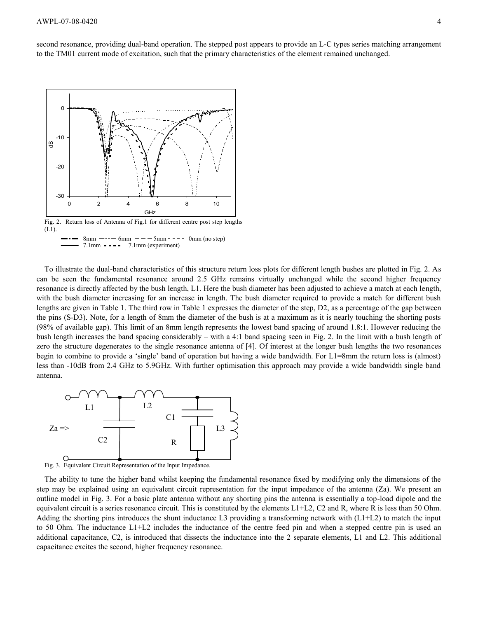second resonance, providing dual-band operation. The stepped post appears to provide an L-C types series matching arrangement to the TM01 current mode of excitation, such that the primary characteristics of the element remained unchanged.



 $8 \text{mm}$  ---- 6mm ---  $5 \text{mm}$  --- 0mm (no step)  $7.1$ mm  $\bullet \bullet \bullet \bullet$  7.1mm (experiment)

To illustrate the dual-band characteristics of this structure return loss plots for different length bushes are plotted in Fig. 2. As can be seen the fundamental resonance around 2.5 GHz remains virtually unchanged while the second higher frequency resonance is directly affected by the bush length, L1. Here the bush diameter has been adjusted to achieve a match at each length, with the bush diameter increasing for an increase in length. The bush diameter required to provide a match for different bush lengths are given in Table 1. The third row in Table 1 expresses the diameter of the step, D2, as a percentage of the gap between the pins (S-D3). Note, for a length of 8mm the diameter of the bush is at a maximum as it is nearly touching the shorting posts (98% of available gap). This limit of an 8mm length represents the lowest band spacing of around 1.8:1. However reducing the bush length increases the band spacing considerably – with a 4:1 band spacing seen in Fig. 2. In the limit with a bush length of zero the structure degenerates to the single resonance antenna of [4]. Of interest at the longer bush lengths the two resonances begin to combine to provide a 'single' band of operation but having a wide bandwidth. For L1=8mm the return loss is (almost) less than -10dB from 2.4 GHz to 5.9GHz. With further optimisation this approach may provide a wide bandwidth single band antenna.





The ability to tune the higher band whilst keeping the fundamental resonance fixed by modifying only the dimensions of the step may be explained using an equivalent circuit representation for the input impedance of the antenna (Za). We present an outline model in Fig. 3. For a basic plate antenna without any shorting pins the antenna is essentially a top-load dipole and the equivalent circuit is a series resonance circuit. This is constituted by the elements  $L1+L2$ , C2 and R, where R is less than 50 Ohm. Adding the shorting pins introduces the shunt inductance L3 providing a transforming network with  $(L1+L2)$  to match the input to 50 Ohm. The inductance L1+L2 includes the inductance of the centre feed pin and when a stepped centre pin is used an additional capacitance, C2, is introduced that dissects the inductance into the 2 separate elements, L1 and L2. This additional capacitance excites the second, higher frequency resonance.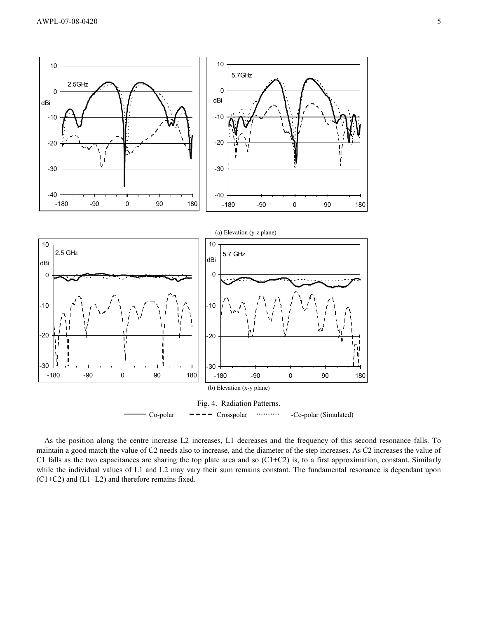

As the position along the centre increase L2 increases, L1 decreases and the frequency of this second resonance falls. To maintain a good match the value of C2 needs also to increase, and the diameter of the step increases. As C2 increases the value of C1 falls as the two capacitances are sharing the top plate area and so (C1+C2) is, to a first approximation, constant. Similarly while the individual values of L1 and L2 may vary their sum remains constant. The fundamental resonance is dependant upon (C1+C2) and (L1+L2) and therefore remains fixed.